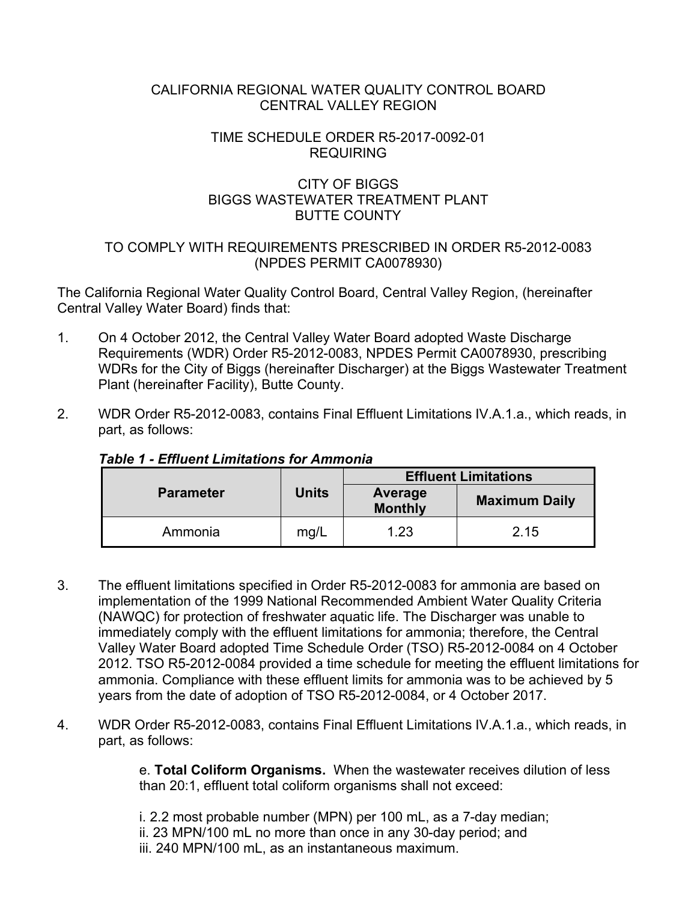#### CALIFORNIA REGIONAL WATER QUALITY CONTROL BOARD CENTRAL VALLEY REGION

### TIME SCHEDULE ORDER R5-2017-0092-01 REQUIRING

### CITY OF BIGGS BIGGS WASTEWATER TREATMENT PLANT BUTTE COUNTY

### TO COMPLY WITH REQUIREMENTS PRESCRIBED IN ORDER R5-2012-0083 (NPDES PERMIT CA0078930)

The California Regional Water Quality Control Board, Central Valley Region, (hereinafter Central Valley Water Board) finds that:

- 1. On 4 October 2012, the Central Valley Water Board adopted Waste Discharge Requirements (WDR) Order R5-2012-0083, NPDES Permit CA0078930, prescribing WDRs for the City of Biggs (hereinafter Discharger) at the Biggs Wastewater Treatment Plant (hereinafter Facility), Butte County.
- 2. WDR Order R5-2012-0083, contains Final Effluent Limitations IV.A.1.a., which reads, in part, as follows:

|                  |              | <b>Effluent Limitations</b> |                      |  |
|------------------|--------------|-----------------------------|----------------------|--|
| <b>Parameter</b> | <b>Units</b> | Average<br><b>Monthly</b>   | <b>Maximum Daily</b> |  |
| Ammonia          | mg/L         | 1.23                        | 2.15                 |  |

# *Table 1 - Effluent Limitations for Ammonia*

- 3. The effluent limitations specified in Order R5-2012-0083 for ammonia are based on implementation of the 1999 National Recommended Ambient Water Quality Criteria (NAWQC) for protection of freshwater aquatic life. The Discharger was unable to immediately comply with the effluent limitations for ammonia; therefore, the Central Valley Water Board adopted Time Schedule Order (TSO) R5-2012-0084 on 4 October 2012. TSO R5-2012-0084 provided a time schedule for meeting the effluent limitations for ammonia. Compliance with these effluent limits for ammonia was to be achieved by 5 years from the date of adoption of TSO R5-2012-0084, or 4 October 2017.
- 4. WDR Order R5-2012-0083, contains Final Effluent Limitations IV.A.1.a., which reads, in part, as follows:

e. **Total Coliform Organisms.** When the wastewater receives dilution of less than 20:1, effluent total coliform organisms shall not exceed:

i. 2.2 most probable number (MPN) per 100 mL, as a 7-day median;

- ii. 23 MPN/100 mL no more than once in any 30-day period; and
- iii. 240 MPN/100 mL, as an instantaneous maximum.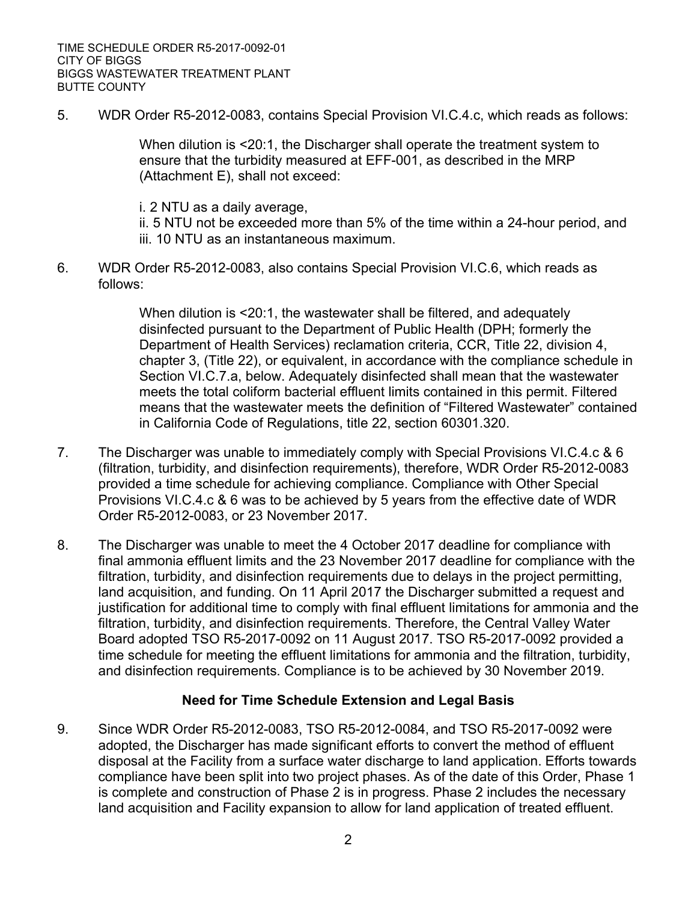5. WDR Order R5-2012-0083, contains Special Provision VI.C.4.c, which reads as follows:

When dilution is <20:1, the Discharger shall operate the treatment system to ensure that the turbidity measured at EFF-001, as described in the MRP (Attachment E), shall not exceed:

i. 2 NTU as a daily average,

ii. 5 NTU not be exceeded more than 5% of the time within a 24-hour period, and iii. 10 NTU as an instantaneous maximum.

6. WDR Order R5-2012-0083, also contains Special Provision VI.C.6, which reads as follows:

> When dilution is <20:1, the wastewater shall be filtered, and adequately disinfected pursuant to the Department of Public Health (DPH; formerly the Department of Health Services) reclamation criteria, CCR, Title 22, division 4, chapter 3, (Title 22), or equivalent, in accordance with the compliance schedule in Section VI.C.7.a, below. Adequately disinfected shall mean that the wastewater meets the total coliform bacterial effluent limits contained in this permit. Filtered means that the wastewater meets the definition of "Filtered Wastewater" contained in California Code of Regulations, title 22, section 60301.320.

- 7. The Discharger was unable to immediately comply with Special Provisions VI.C.4.c & 6 (filtration, turbidity, and disinfection requirements), therefore, WDR Order R5-2012-0083 provided a time schedule for achieving compliance. Compliance with Other Special Provisions VI.C.4.c & 6 was to be achieved by 5 years from the effective date of WDR Order R5-2012-0083, or 23 November 2017.
- 8. The Discharger was unable to meet the 4 October 2017 deadline for compliance with final ammonia effluent limits and the 23 November 2017 deadline for compliance with the filtration, turbidity, and disinfection requirements due to delays in the project permitting, land acquisition, and funding. On 11 April 2017 the Discharger submitted a request and justification for additional time to comply with final effluent limitations for ammonia and the filtration, turbidity, and disinfection requirements. Therefore, the Central Valley Water Board adopted TSO R5-2017-0092 on 11 August 2017. TSO R5-2017-0092 provided a time schedule for meeting the effluent limitations for ammonia and the filtration, turbidity, and disinfection requirements. Compliance is to be achieved by 30 November 2019.

#### **Need for Time Schedule Extension and Legal Basis**

9. Since WDR Order R5-2012-0083, TSO R5-2012-0084, and TSO R5-2017-0092 were adopted, the Discharger has made significant efforts to convert the method of effluent disposal at the Facility from a surface water discharge to land application. Efforts towards compliance have been split into two project phases. As of the date of this Order, Phase 1 is complete and construction of Phase 2 is in progress. Phase 2 includes the necessary land acquisition and Facility expansion to allow for land application of treated effluent.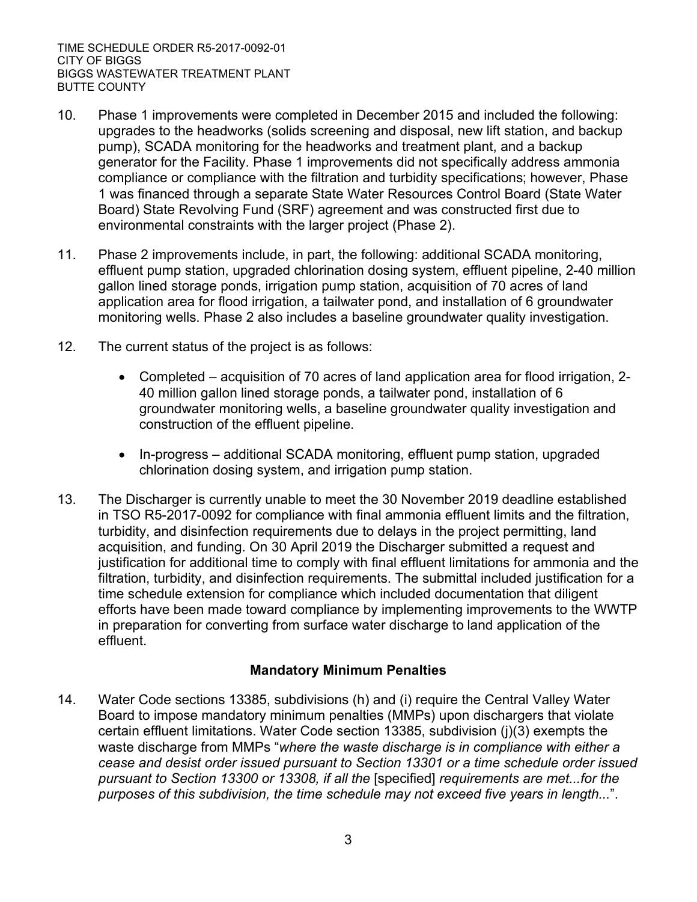- 10. Phase 1 improvements were completed in December 2015 and included the following: upgrades to the headworks (solids screening and disposal, new lift station, and backup pump), SCADA monitoring for the headworks and treatment plant, and a backup generator for the Facility. Phase 1 improvements did not specifically address ammonia compliance or compliance with the filtration and turbidity specifications; however, Phase 1 was financed through a separate State Water Resources Control Board (State Water Board) State Revolving Fund (SRF) agreement and was constructed first due to environmental constraints with the larger project (Phase 2).
- 11. Phase 2 improvements include, in part, the following: additional SCADA monitoring, effluent pump station, upgraded chlorination dosing system, effluent pipeline, 2-40 million gallon lined storage ponds, irrigation pump station, acquisition of 70 acres of land application area for flood irrigation, a tailwater pond, and installation of 6 groundwater monitoring wells. Phase 2 also includes a baseline groundwater quality investigation.
- 12. The current status of the project is as follows:
	- · Completed acquisition of 70 acres of land application area for flood irrigation, 2- 40 million gallon lined storage ponds, a tailwater pond, installation of 6 groundwater monitoring wells, a baseline groundwater quality investigation and construction of the effluent pipeline.
	- · In-progress additional SCADA monitoring, effluent pump station, upgraded chlorination dosing system, and irrigation pump station.
- 13. The Discharger is currently unable to meet the 30 November 2019 deadline established in TSO R5-2017-0092 for compliance with final ammonia effluent limits and the filtration, turbidity, and disinfection requirements due to delays in the project permitting, land acquisition, and funding. On 30 April 2019 the Discharger submitted a request and justification for additional time to comply with final effluent limitations for ammonia and the filtration, turbidity, and disinfection requirements. The submittal included justification for a time schedule extension for compliance which included documentation that diligent efforts have been made toward compliance by implementing improvements to the WWTP in preparation for converting from surface water discharge to land application of the effluent.

# **Mandatory Minimum Penalties**

14. Water Code sections 13385, subdivisions (h) and (i) require the Central Valley Water Board to impose mandatory minimum penalties (MMPs) upon dischargers that violate certain effluent limitations. Water Code section 13385, subdivision (j)(3) exempts the waste discharge from MMPs "*where the waste discharge is in compliance with either a cease and desist order issued pursuant to Section 13301 or a time schedule order issued pursuant to Section 13300 or 13308, if all the* [specified] *requirements are met...for the purposes of this subdivision, the time schedule may not exceed five years in length...*".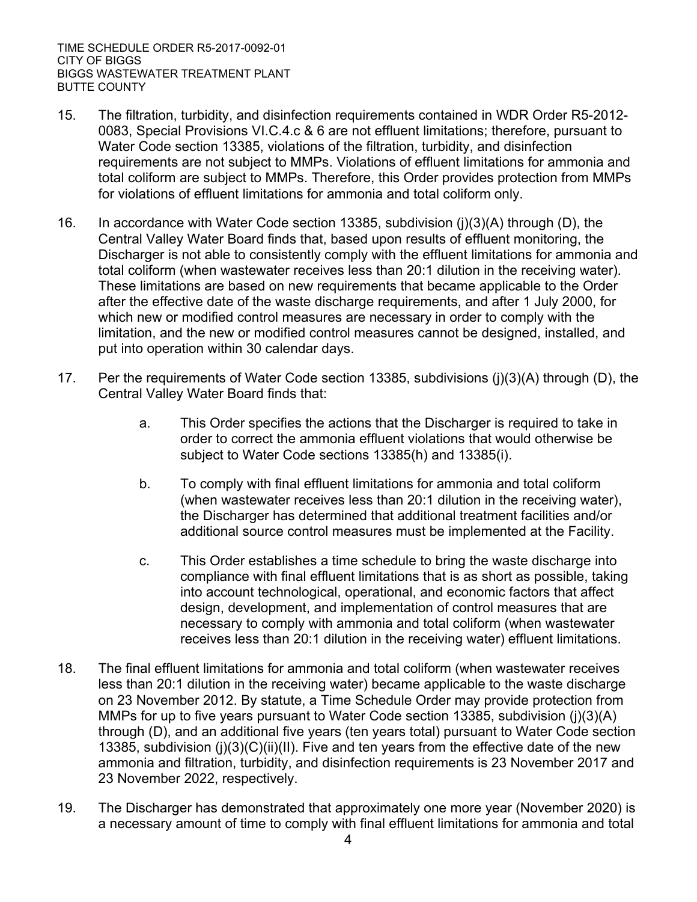- 15. The filtration, turbidity, and disinfection requirements contained in WDR Order R5-2012- 0083, Special Provisions VI.C.4.c & 6 are not effluent limitations; therefore, pursuant to Water Code section 13385, violations of the filtration, turbidity, and disinfection requirements are not subject to MMPs. Violations of effluent limitations for ammonia and total coliform are subject to MMPs. Therefore, this Order provides protection from MMPs for violations of effluent limitations for ammonia and total coliform only.
- 16. In accordance with Water Code section 13385, subdivision (j)(3)(A) through (D), the Central Valley Water Board finds that, based upon results of effluent monitoring, the Discharger is not able to consistently comply with the effluent limitations for ammonia and total coliform (when wastewater receives less than 20:1 dilution in the receiving water). These limitations are based on new requirements that became applicable to the Order after the effective date of the waste discharge requirements, and after 1 July 2000, for which new or modified control measures are necessary in order to comply with the limitation, and the new or modified control measures cannot be designed, installed, and put into operation within 30 calendar days.
- 17. Per the requirements of Water Code section 13385, subdivisions (j)(3)(A) through (D), the Central Valley Water Board finds that:
	- a. This Order specifies the actions that the Discharger is required to take in order to correct the ammonia effluent violations that would otherwise be subject to Water Code sections 13385(h) and 13385(i).
	- b. To comply with final effluent limitations for ammonia and total coliform (when wastewater receives less than 20:1 dilution in the receiving water), the Discharger has determined that additional treatment facilities and/or additional source control measures must be implemented at the Facility.
	- c. This Order establishes a time schedule to bring the waste discharge into compliance with final effluent limitations that is as short as possible, taking into account technological, operational, and economic factors that affect design, development, and implementation of control measures that are necessary to comply with ammonia and total coliform (when wastewater receives less than 20:1 dilution in the receiving water) effluent limitations.
- 18. The final effluent limitations for ammonia and total coliform (when wastewater receives less than 20:1 dilution in the receiving water) became applicable to the waste discharge on 23 November 2012. By statute, a Time Schedule Order may provide protection from MMPs for up to five years pursuant to Water Code section 13385, subdivision (j)(3)(A) through (D), and an additional five years (ten years total) pursuant to Water Code section 13385, subdivision (j)(3)(C)(ii)(II). Five and ten years from the effective date of the new ammonia and filtration, turbidity, and disinfection requirements is 23 November 2017 and 23 November 2022, respectively.
- 19. The Discharger has demonstrated that approximately one more year (November 2020) is a necessary amount of time to comply with final effluent limitations for ammonia and total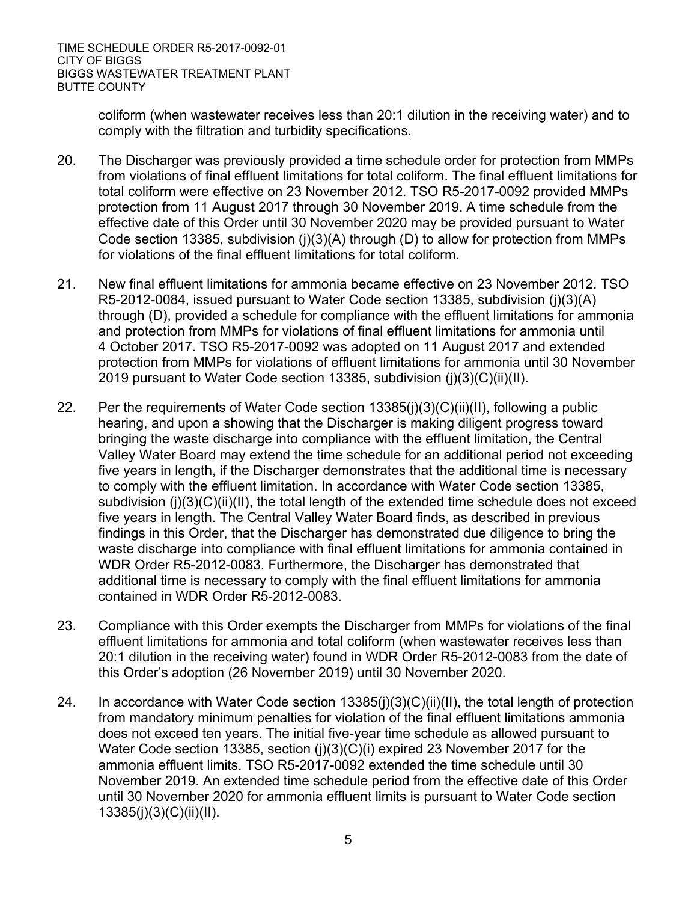> coliform (when wastewater receives less than 20:1 dilution in the receiving water) and to comply with the filtration and turbidity specifications.

- 20. The Discharger was previously provided a time schedule order for protection from MMPs from violations of final effluent limitations for total coliform. The final effluent limitations for total coliform were effective on 23 November 2012. TSO R5-2017-0092 provided MMPs protection from 11 August 2017 through 30 November 2019. A time schedule from the effective date of this Order until 30 November 2020 may be provided pursuant to Water Code section 13385, subdivision (i)(3)(A) through (D) to allow for protection from MMPs for violations of the final effluent limitations for total coliform.
- 21. New final effluent limitations for ammonia became effective on 23 November 2012. TSO R5-2012-0084, issued pursuant to Water Code section 13385, subdivision (j)(3)(A) through (D), provided a schedule for compliance with the effluent limitations for ammonia and protection from MMPs for violations of final effluent limitations for ammonia until 4 October 2017. TSO R5-2017-0092 was adopted on 11 August 2017 and extended protection from MMPs for violations of effluent limitations for ammonia until 30 November 2019 pursuant to Water Code section 13385, subdivision (j)(3)(C)(ii)(II).
- 22. Per the requirements of Water Code section 13385(j)(3)(C)(ii)(II), following a public hearing, and upon a showing that the Discharger is making diligent progress toward bringing the waste discharge into compliance with the effluent limitation, the Central Valley Water Board may extend the time schedule for an additional period not exceeding five years in length, if the Discharger demonstrates that the additional time is necessary to comply with the effluent limitation. In accordance with Water Code section 13385, subdivision (j)(3)(C)(ii)(II), the total length of the extended time schedule does not exceed five years in length. The Central Valley Water Board finds, as described in previous findings in this Order, that the Discharger has demonstrated due diligence to bring the waste discharge into compliance with final effluent limitations for ammonia contained in WDR Order R5-2012-0083. Furthermore, the Discharger has demonstrated that additional time is necessary to comply with the final effluent limitations for ammonia contained in WDR Order R5-2012-0083.
- 23. Compliance with this Order exempts the Discharger from MMPs for violations of the final effluent limitations for ammonia and total coliform (when wastewater receives less than 20:1 dilution in the receiving water) found in WDR Order R5-2012-0083 from the date of this Order's adoption (26 November 2019) until 30 November 2020.
- 24. In accordance with Water Code section 13385(j)(3)(C)(ii)(II), the total length of protection from mandatory minimum penalties for violation of the final effluent limitations ammonia does not exceed ten years. The initial five-year time schedule as allowed pursuant to Water Code section 13385, section (j)(3)(C)(i) expired 23 November 2017 for the ammonia effluent limits. TSO R5-2017-0092 extended the time schedule until 30 November 2019. An extended time schedule period from the effective date of this Order until 30 November 2020 for ammonia effluent limits is pursuant to Water Code section 13385(j)(3)(C)(ii)(II).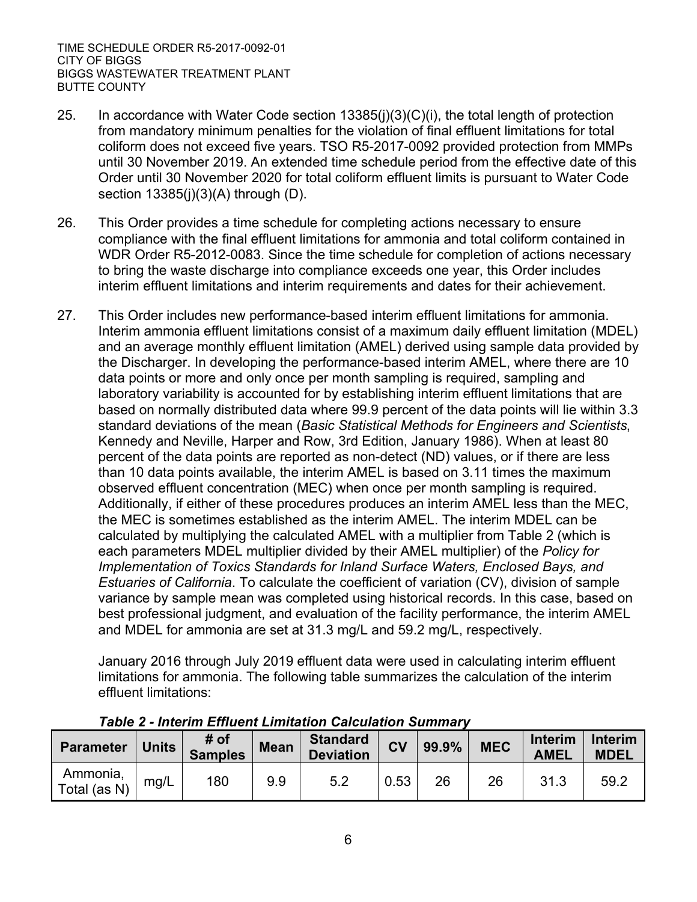- 25. In accordance with Water Code section 13385(j)(3)(C)(i), the total length of protection from mandatory minimum penalties for the violation of final effluent limitations for total coliform does not exceed five years. TSO R5-2017-0092 provided protection from MMPs until 30 November 2019. An extended time schedule period from the effective date of this Order until 30 November 2020 for total coliform effluent limits is pursuant to Water Code section 13385(j)(3)(A) through (D).
- 26. This Order provides a time schedule for completing actions necessary to ensure compliance with the final effluent limitations for ammonia and total coliform contained in WDR Order R5-2012-0083. Since the time schedule for completion of actions necessary to bring the waste discharge into compliance exceeds one year, this Order includes interim effluent limitations and interim requirements and dates for their achievement.
- 27. This Order includes new performance-based interim effluent limitations for ammonia. Interim ammonia effluent limitations consist of a maximum daily effluent limitation (MDEL) and an average monthly effluent limitation (AMEL) derived using sample data provided by the Discharger. In developing the performance-based interim AMEL, where there are 10 data points or more and only once per month sampling is required, sampling and laboratory variability is accounted for by establishing interim effluent limitations that are based on normally distributed data where 99.9 percent of the data points will lie within 3.3 standard deviations of the mean (*Basic Statistical Methods for Engineers and Scientists*, Kennedy and Neville, Harper and Row, 3rd Edition, January 1986). When at least 80 percent of the data points are reported as non-detect (ND) values, or if there are less than 10 data points available, the interim AMEL is based on 3.11 times the maximum observed effluent concentration (MEC) when once per month sampling is required. Additionally, if either of these procedures produces an interim AMEL less than the MEC, the MEC is sometimes established as the interim AMEL. The interim MDEL can be calculated by multiplying the calculated AMEL with a multiplier from Table 2 (which is each parameters MDEL multiplier divided by their AMEL multiplier) of the *Policy for Implementation of Toxics Standards for Inland Surface Waters, Enclosed Bays, and Estuaries of California*. To calculate the coefficient of variation (CV), division of sample variance by sample mean was completed using historical records. In this case, based on best professional judgment, and evaluation of the facility performance, the interim AMEL and MDEL for ammonia are set at 31.3 mg/L and 59.2 mg/L, respectively.

January 2016 through July 2019 effluent data were used in calculating interim effluent limitations for ammonia. The following table summarizes the calculation of the interim effluent limitations:

| <b>Parameter</b>         | <b>Units</b> | # of<br><b>Samples</b> | <b>Mean</b> | <b>Standard</b><br><b>Deviation</b> | <b>CV</b> | 99.9% | <b>MEC</b> | <b>Interim</b><br><b>AMEL</b> | <b>Interim</b><br><b>MDEL</b> |
|--------------------------|--------------|------------------------|-------------|-------------------------------------|-----------|-------|------------|-------------------------------|-------------------------------|
| Ammonia,<br>Total (as N) | mg/L         | 180                    | 9.9         | 5.2                                 | 0.53      | 26    | 26         | 31.3                          | 59.2                          |

#### *Table 2 - Interim Effluent Limitation Calculation Summary*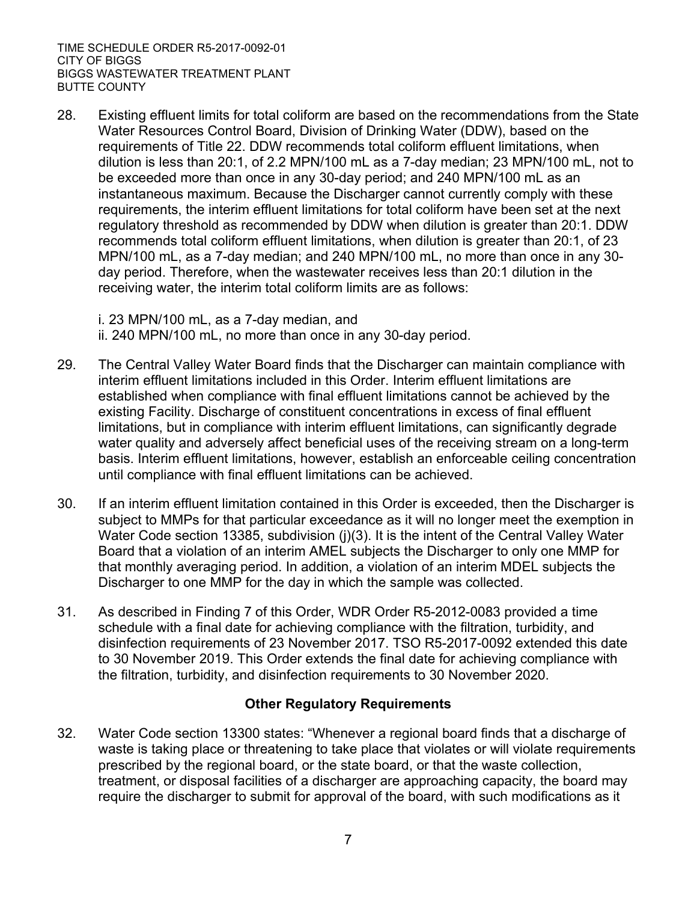28. Existing effluent limits for total coliform are based on the recommendations from the State Water Resources Control Board, Division of Drinking Water (DDW), based on the requirements of Title 22. DDW recommends total coliform effluent limitations, when dilution is less than 20:1, of 2.2 MPN/100 mL as a 7-day median; 23 MPN/100 mL, not to be exceeded more than once in any 30-day period; and 240 MPN/100 mL as an instantaneous maximum. Because the Discharger cannot currently comply with these requirements, the interim effluent limitations for total coliform have been set at the next regulatory threshold as recommended by DDW when dilution is greater than 20:1. DDW recommends total coliform effluent limitations, when dilution is greater than 20:1, of 23 MPN/100 mL, as a 7-day median; and 240 MPN/100 mL, no more than once in any 30 day period. Therefore, when the wastewater receives less than 20:1 dilution in the receiving water, the interim total coliform limits are as follows:

i. 23 MPN/100 mL, as a 7-day median, and

ii. 240 MPN/100 mL, no more than once in any 30-day period.

- 29. The Central Valley Water Board finds that the Discharger can maintain compliance with interim effluent limitations included in this Order. Interim effluent limitations are established when compliance with final effluent limitations cannot be achieved by the existing Facility. Discharge of constituent concentrations in excess of final effluent limitations, but in compliance with interim effluent limitations, can significantly degrade water quality and adversely affect beneficial uses of the receiving stream on a long-term basis. Interim effluent limitations, however, establish an enforceable ceiling concentration until compliance with final effluent limitations can be achieved.
- 30. If an interim effluent limitation contained in this Order is exceeded, then the Discharger is subject to MMPs for that particular exceedance as it will no longer meet the exemption in Water Code section 13385, subdivision (j)(3). It is the intent of the Central Valley Water Board that a violation of an interim AMEL subjects the Discharger to only one MMP for that monthly averaging period. In addition, a violation of an interim MDEL subjects the Discharger to one MMP for the day in which the sample was collected.
- 31. As described in Finding 7 of this Order, WDR Order R5-2012-0083 provided a time schedule with a final date for achieving compliance with the filtration, turbidity, and disinfection requirements of 23 November 2017. TSO R5-2017-0092 extended this date to 30 November 2019. This Order extends the final date for achieving compliance with the filtration, turbidity, and disinfection requirements to 30 November 2020.

# **Other Regulatory Requirements**

32. Water Code section 13300 states: "Whenever a regional board finds that a discharge of waste is taking place or threatening to take place that violates or will violate requirements prescribed by the regional board, or the state board, or that the waste collection, treatment, or disposal facilities of a discharger are approaching capacity, the board may require the discharger to submit for approval of the board, with such modifications as it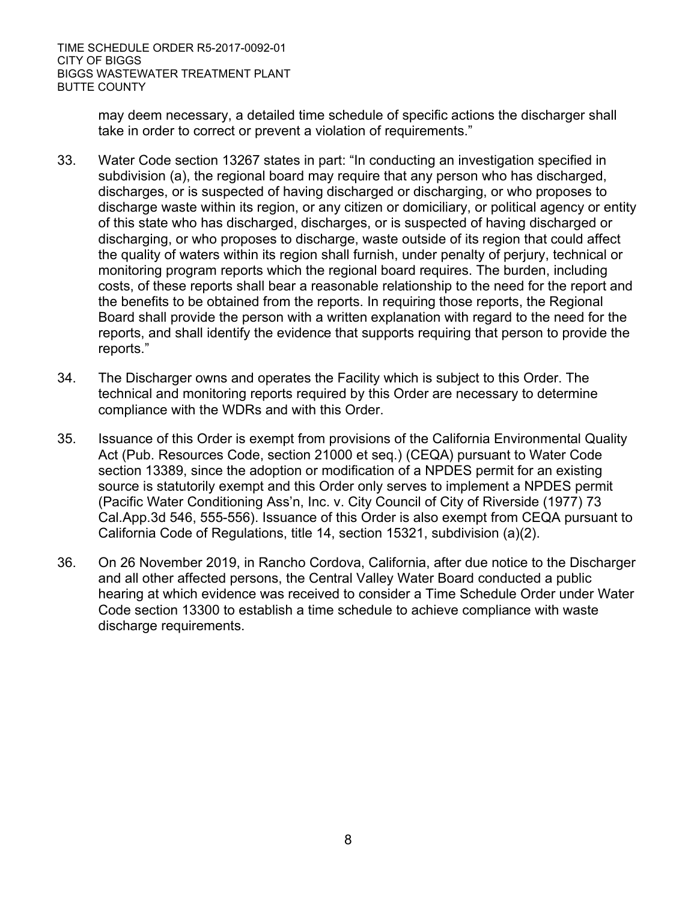> may deem necessary, a detailed time schedule of specific actions the discharger shall take in order to correct or prevent a violation of requirements."

- 33. Water Code section 13267 states in part: "In conducting an investigation specified in subdivision (a), the regional board may require that any person who has discharged, discharges, or is suspected of having discharged or discharging, or who proposes to discharge waste within its region, or any citizen or domiciliary, or political agency or entity of this state who has discharged, discharges, or is suspected of having discharged or discharging, or who proposes to discharge, waste outside of its region that could affect the quality of waters within its region shall furnish, under penalty of perjury, technical or monitoring program reports which the regional board requires. The burden, including costs, of these reports shall bear a reasonable relationship to the need for the report and the benefits to be obtained from the reports. In requiring those reports, the Regional Board shall provide the person with a written explanation with regard to the need for the reports, and shall identify the evidence that supports requiring that person to provide the reports."
- 34. The Discharger owns and operates the Facility which is subject to this Order. The technical and monitoring reports required by this Order are necessary to determine compliance with the WDRs and with this Order.
- 35. Issuance of this Order is exempt from provisions of the California Environmental Quality Act (Pub. Resources Code, section 21000 et seq.) (CEQA) pursuant to Water Code section 13389, since the adoption or modification of a NPDES permit for an existing source is statutorily exempt and this Order only serves to implement a NPDES permit (Pacific Water Conditioning Ass'n, Inc. v. City Council of City of Riverside (1977) 73 Cal.App.3d 546, 555-556). Issuance of this Order is also exempt from CEQA pursuant to California Code of Regulations, title 14, section 15321, subdivision (a)(2).
- 36. On 26 November 2019, in Rancho Cordova, California, after due notice to the Discharger and all other affected persons, the Central Valley Water Board conducted a public hearing at which evidence was received to consider a Time Schedule Order under Water Code section 13300 to establish a time schedule to achieve compliance with waste discharge requirements.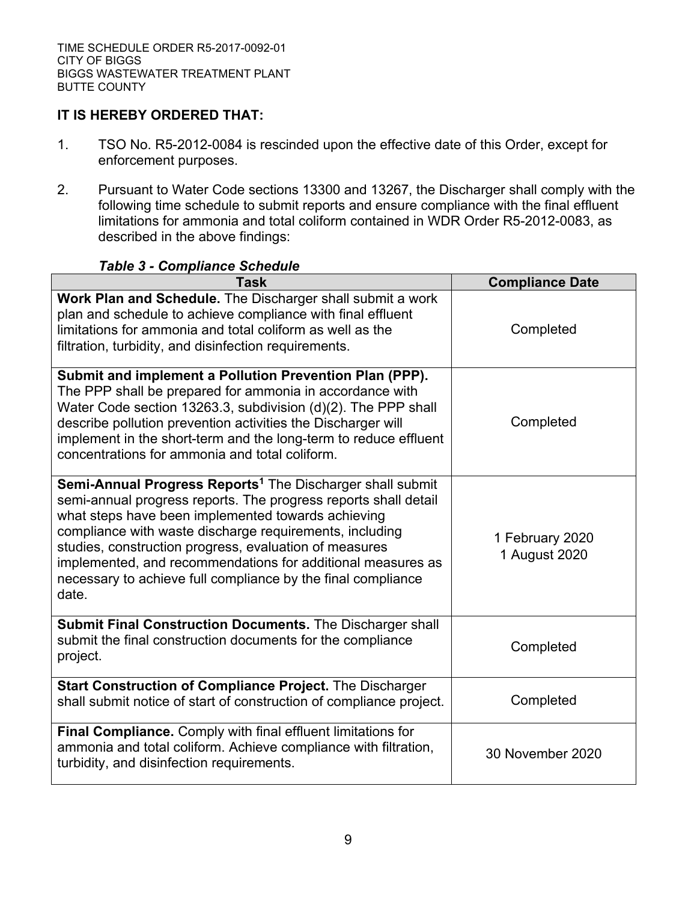# **IT IS HEREBY ORDERED THAT:**

- 1. TSO No. R5-2012-0084 is rescinded upon the effective date of this Order, except for enforcement purposes.
- 2. Pursuant to Water Code sections 13300 and 13267, the Discharger shall comply with the following time schedule to submit reports and ensure compliance with the final effluent limitations for ammonia and total coliform contained in WDR Order R5-2012-0083, as described in the above findings:

#### *Table 3 - Compliance Schedule*

| <b>Task</b>                                                                                                                                                                                                                                                                                                                                                                                                                                                       | <b>Compliance Date</b>           |
|-------------------------------------------------------------------------------------------------------------------------------------------------------------------------------------------------------------------------------------------------------------------------------------------------------------------------------------------------------------------------------------------------------------------------------------------------------------------|----------------------------------|
| Work Plan and Schedule. The Discharger shall submit a work<br>plan and schedule to achieve compliance with final effluent<br>limitations for ammonia and total coliform as well as the<br>filtration, turbidity, and disinfection requirements.                                                                                                                                                                                                                   | Completed                        |
| Submit and implement a Pollution Prevention Plan (PPP).<br>The PPP shall be prepared for ammonia in accordance with<br>Water Code section 13263.3, subdivision (d)(2). The PPP shall<br>describe pollution prevention activities the Discharger will<br>implement in the short-term and the long-term to reduce effluent<br>concentrations for ammonia and total coliform.                                                                                        | Completed                        |
| <b>Semi-Annual Progress Reports<sup>1</sup></b> The Discharger shall submit<br>semi-annual progress reports. The progress reports shall detail<br>what steps have been implemented towards achieving<br>compliance with waste discharge requirements, including<br>studies, construction progress, evaluation of measures<br>implemented, and recommendations for additional measures as<br>necessary to achieve full compliance by the final compliance<br>date. | 1 February 2020<br>1 August 2020 |
| Submit Final Construction Documents. The Discharger shall<br>submit the final construction documents for the compliance<br>project.                                                                                                                                                                                                                                                                                                                               | Completed                        |
| <b>Start Construction of Compliance Project.</b> The Discharger<br>shall submit notice of start of construction of compliance project.                                                                                                                                                                                                                                                                                                                            | Completed                        |
| Final Compliance. Comply with final effluent limitations for<br>ammonia and total coliform. Achieve compliance with filtration,<br>turbidity, and disinfection requirements.                                                                                                                                                                                                                                                                                      | 30 November 2020                 |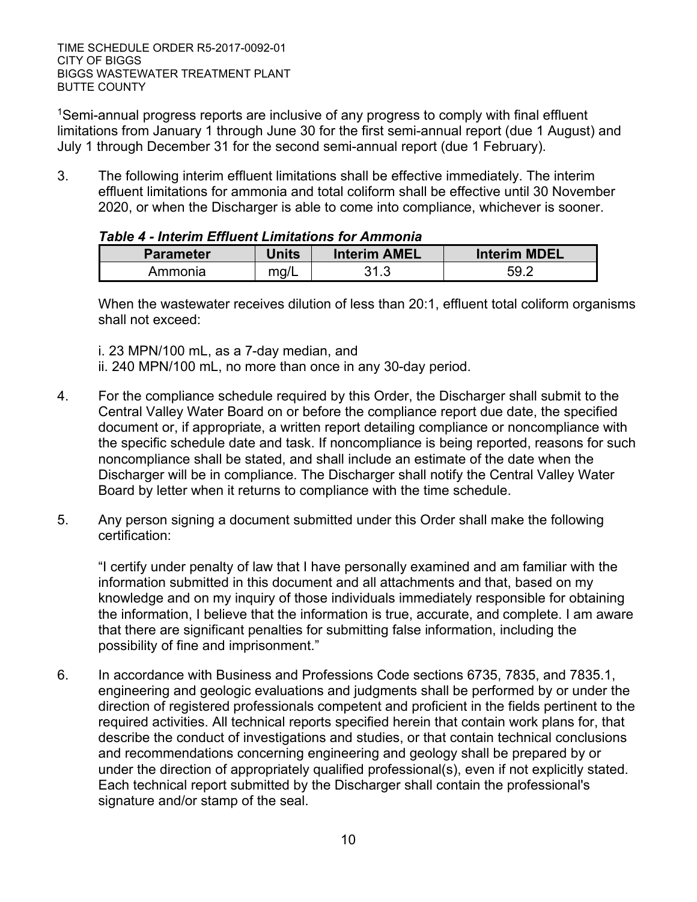<sup>1</sup>Semi-annual progress reports are inclusive of any progress to comply with final effluent limitations from January 1 through June 30 for the first semi-annual report (due 1 August) and July 1 through December 31 for the second semi-annual report (due 1 February).

3. The following interim effluent limitations shall be effective immediately. The interim effluent limitations for ammonia and total coliform shall be effective until 30 November 2020, or when the Discharger is able to come into compliance, whichever is sooner.

| <b>Parameter</b> | Units | Interim AMEL | Interim MDEL |  |
|------------------|-------|--------------|--------------|--|
| Ammonia          | mq/L  | 31.3         | 59.2         |  |

#### *Table 4 - Interim Effluent Limitations for Ammonia*

When the wastewater receives dilution of less than 20:1, effluent total coliform organisms shall not exceed:

- i. 23 MPN/100 mL, as a 7-day median, and
- ii. 240 MPN/100 mL, no more than once in any 30-day period.
- 4. For the compliance schedule required by this Order, the Discharger shall submit to the Central Valley Water Board on or before the compliance report due date, the specified document or, if appropriate, a written report detailing compliance or noncompliance with the specific schedule date and task. If noncompliance is being reported, reasons for such noncompliance shall be stated, and shall include an estimate of the date when the Discharger will be in compliance. The Discharger shall notify the Central Valley Water Board by letter when it returns to compliance with the time schedule.
- 5. Any person signing a document submitted under this Order shall make the following certification:

"I certify under penalty of law that I have personally examined and am familiar with the information submitted in this document and all attachments and that, based on my knowledge and on my inquiry of those individuals immediately responsible for obtaining the information, I believe that the information is true, accurate, and complete. I am aware that there are significant penalties for submitting false information, including the possibility of fine and imprisonment."

6. In accordance with Business and Professions Code sections 6735, 7835, and 7835.1, engineering and geologic evaluations and judgments shall be performed by or under the direction of registered professionals competent and proficient in the fields pertinent to the required activities. All technical reports specified herein that contain work plans for, that describe the conduct of investigations and studies, or that contain technical conclusions and recommendations concerning engineering and geology shall be prepared by or under the direction of appropriately qualified professional(s), even if not explicitly stated. Each technical report submitted by the Discharger shall contain the professional's signature and/or stamp of the seal.